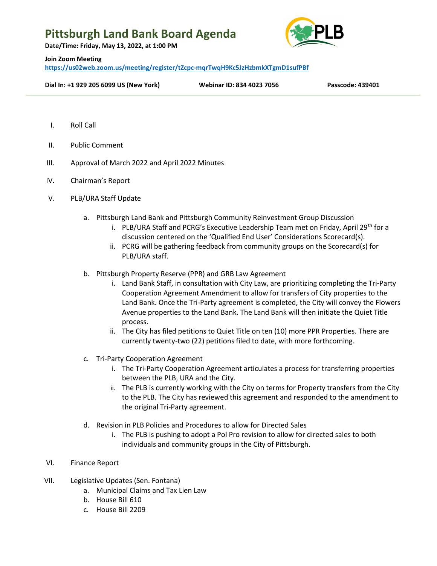## Pittsburgh Land Bank Board Agenda

Date/Time: Friday, May 13, 2022, at 1:00 PM



#### Join Zoom Meeting

https://us02web.zoom.us/meeting/register/tZcpc-mqrTwqH9Kc5JzHzbmkXTgmD1sufPBf

### Dial In: +1 929 205 6099 US (New York) Webinar ID: 834 4023 7056 Passcode: 439401

- I. Roll Call
- II. Public Comment
- III. Approval of March 2022 and April 2022 Minutes
- IV. Chairman's Report
- V. PLB/URA Staff Update
	- a. Pittsburgh Land Bank and Pittsburgh Community Reinvestment Group Discussion
		- i. PLB/URA Staff and PCRG's Executive Leadership Team met on Friday, April 29<sup>th</sup> for a discussion centered on the 'Qualified End User' Considerations Scorecard(s).
		- ii. PCRG will be gathering feedback from community groups on the Scorecard(s) for PLB/URA staff.
	- b. Pittsburgh Property Reserve (PPR) and GRB Law Agreement
		- i. Land Bank Staff, in consultation with City Law, are prioritizing completing the Tri-Party Cooperation Agreement Amendment to allow for transfers of City properties to the Land Bank. Once the Tri-Party agreement is completed, the City will convey the Flowers Avenue properties to the Land Bank. The Land Bank will then initiate the Quiet Title process.
		- ii. The City has filed petitions to Quiet Title on ten (10) more PPR Properties. There are currently twenty-two (22) petitions filed to date, with more forthcoming.
	- c. Tri-Party Cooperation Agreement
		- i. The Tri-Party Cooperation Agreement articulates a process for transferring properties between the PLB, URA and the City.
		- ii. The PLB is currently working with the City on terms for Property transfers from the City to the PLB. The City has reviewed this agreement and responded to the amendment to the original Tri-Party agreement.
	- d. Revision in PLB Policies and Procedures to allow for Directed Sales
		- i. The PLB is pushing to adopt a Pol Pro revision to allow for directed sales to both individuals and community groups in the City of Pittsburgh.
- VI. Finance Report
- VII. Legislative Updates (Sen. Fontana)
	- a. Municipal Claims and Tax Lien Law
	- b. House Bill 610
	- c. House Bill 2209